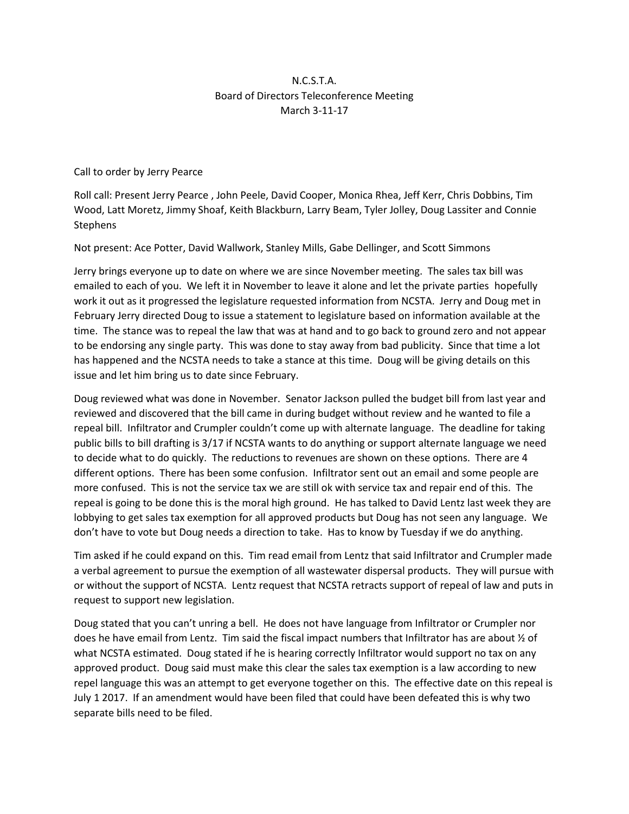## N.C.S.T.A. Board of Directors Teleconference Meeting March 3-11-17

Call to order by Jerry Pearce

Roll call: Present Jerry Pearce , John Peele, David Cooper, Monica Rhea, Jeff Kerr, Chris Dobbins, Tim Wood, Latt Moretz, Jimmy Shoaf, Keith Blackburn, Larry Beam, Tyler Jolley, Doug Lassiter and Connie **Stephens** 

Not present: Ace Potter, David Wallwork, Stanley Mills, Gabe Dellinger, and Scott Simmons

Jerry brings everyone up to date on where we are since November meeting. The sales tax bill was emailed to each of you. We left it in November to leave it alone and let the private parties hopefully work it out as it progressed the legislature requested information from NCSTA. Jerry and Doug met in February Jerry directed Doug to issue a statement to legislature based on information available at the time. The stance was to repeal the law that was at hand and to go back to ground zero and not appear to be endorsing any single party. This was done to stay away from bad publicity. Since that time a lot has happened and the NCSTA needs to take a stance at this time. Doug will be giving details on this issue and let him bring us to date since February.

Doug reviewed what was done in November. Senator Jackson pulled the budget bill from last year and reviewed and discovered that the bill came in during budget without review and he wanted to file a repeal bill. Infiltrator and Crumpler couldn't come up with alternate language. The deadline for taking public bills to bill drafting is 3/17 if NCSTA wants to do anything or support alternate language we need to decide what to do quickly. The reductions to revenues are shown on these options. There are 4 different options. There has been some confusion. Infiltrator sent out an email and some people are more confused. This is not the service tax we are still ok with service tax and repair end of this. The repeal is going to be done this is the moral high ground. He has talked to David Lentz last week they are lobbying to get sales tax exemption for all approved products but Doug has not seen any language. We don't have to vote but Doug needs a direction to take. Has to know by Tuesday if we do anything.

Tim asked if he could expand on this. Tim read email from Lentz that said Infiltrator and Crumpler made a verbal agreement to pursue the exemption of all wastewater dispersal products. They will pursue with or without the support of NCSTA. Lentz request that NCSTA retracts support of repeal of law and puts in request to support new legislation.

Doug stated that you can't unring a bell. He does not have language from Infiltrator or Crumpler nor does he have email from Lentz. Tim said the fiscal impact numbers that Infiltrator has are about ½ of what NCSTA estimated. Doug stated if he is hearing correctly Infiltrator would support no tax on any approved product. Doug said must make this clear the sales tax exemption is a law according to new repel language this was an attempt to get everyone together on this. The effective date on this repeal is July 1 2017. If an amendment would have been filed that could have been defeated this is why two separate bills need to be filed.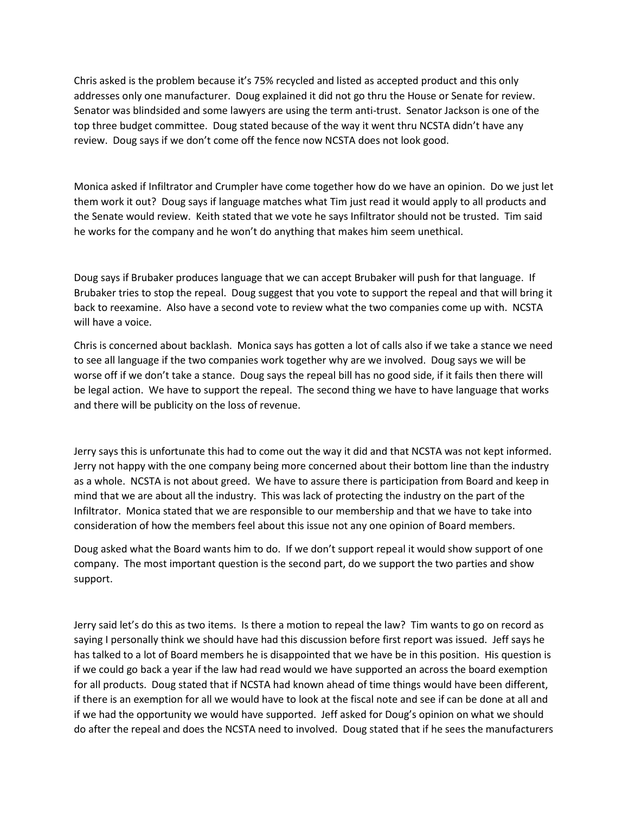Chris asked is the problem because it's 75% recycled and listed as accepted product and this only addresses only one manufacturer. Doug explained it did not go thru the House or Senate for review. Senator was blindsided and some lawyers are using the term anti-trust. Senator Jackson is one of the top three budget committee. Doug stated because of the way it went thru NCSTA didn't have any review. Doug says if we don't come off the fence now NCSTA does not look good.

Monica asked if Infiltrator and Crumpler have come together how do we have an opinion. Do we just let them work it out? Doug says if language matches what Tim just read it would apply to all products and the Senate would review. Keith stated that we vote he says Infiltrator should not be trusted. Tim said he works for the company and he won't do anything that makes him seem unethical.

Doug says if Brubaker produces language that we can accept Brubaker will push for that language. If Brubaker tries to stop the repeal. Doug suggest that you vote to support the repeal and that will bring it back to reexamine. Also have a second vote to review what the two companies come up with. NCSTA will have a voice.

Chris is concerned about backlash. Monica says has gotten a lot of calls also if we take a stance we need to see all language if the two companies work together why are we involved. Doug says we will be worse off if we don't take a stance. Doug says the repeal bill has no good side, if it fails then there will be legal action. We have to support the repeal. The second thing we have to have language that works and there will be publicity on the loss of revenue.

Jerry says this is unfortunate this had to come out the way it did and that NCSTA was not kept informed. Jerry not happy with the one company being more concerned about their bottom line than the industry as a whole. NCSTA is not about greed. We have to assure there is participation from Board and keep in mind that we are about all the industry. This was lack of protecting the industry on the part of the Infiltrator. Monica stated that we are responsible to our membership and that we have to take into consideration of how the members feel about this issue not any one opinion of Board members.

Doug asked what the Board wants him to do. If we don't support repeal it would show support of one company. The most important question is the second part, do we support the two parties and show support.

Jerry said let's do this as two items. Is there a motion to repeal the law? Tim wants to go on record as saying I personally think we should have had this discussion before first report was issued. Jeff says he has talked to a lot of Board members he is disappointed that we have be in this position. His question is if we could go back a year if the law had read would we have supported an across the board exemption for all products. Doug stated that if NCSTA had known ahead of time things would have been different, if there is an exemption for all we would have to look at the fiscal note and see if can be done at all and if we had the opportunity we would have supported. Jeff asked for Doug's opinion on what we should do after the repeal and does the NCSTA need to involved. Doug stated that if he sees the manufacturers